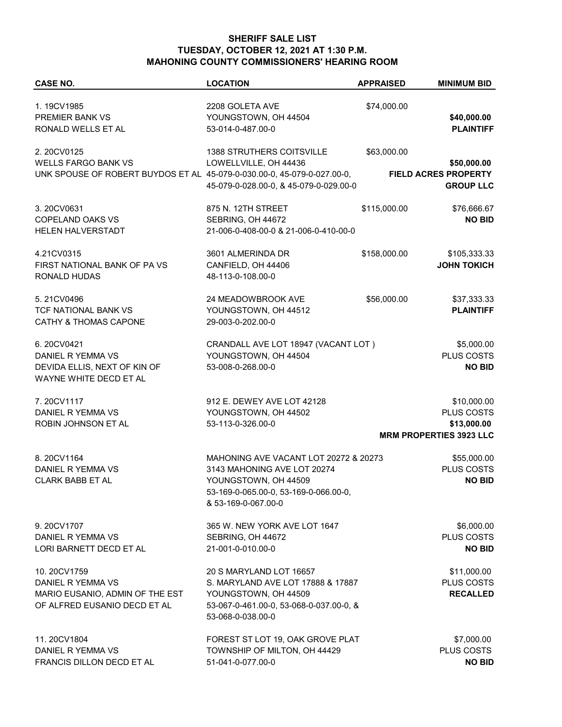## **SHERIFF SALE LIST TUESDAY, OCTOBER 12, 2021 AT 1:30 P.M. MAHONING COUNTY COMMISSIONERS' HEARING ROOM**

| <b>CASE NO.</b>                                                         | <b>LOCATION</b>                         | <b>APPRAISED</b> | <b>MINIMUM BID</b>             |
|-------------------------------------------------------------------------|-----------------------------------------|------------------|--------------------------------|
| 1.19CV1985                                                              | 2208 GOLETA AVE                         | \$74,000.00      |                                |
| PREMIER BANK VS                                                         | YOUNGSTOWN, OH 44504                    |                  |                                |
|                                                                         |                                         |                  | \$40,000.00                    |
| RONALD WELLS ET AL                                                      | 53-014-0-487.00-0                       |                  | <b>PLAINTIFF</b>               |
| 2.20CV0125                                                              | <b>1388 STRUTHERS COITSVILLE</b>        | \$63,000.00      |                                |
| <b>WELLS FARGO BANK VS</b>                                              | LOWELLVILLE, OH 44436                   |                  | \$50,000.00                    |
| UNK SPOUSE OF ROBERT BUYDOS ET AL 45-079-0-030.00-0, 45-079-0-027.00-0, |                                         |                  | FIELD ACRES PROPERTY           |
|                                                                         | 45-079-0-028.00-0, & 45-079-0-029.00-0  |                  | <b>GROUP LLC</b>               |
|                                                                         |                                         |                  |                                |
| 3.20CV0631                                                              | 875 N. 12TH STREET                      | \$115,000.00     | \$76,666.67                    |
| <b>COPELAND OAKS VS</b>                                                 | SEBRING, OH 44672                       |                  | <b>NO BID</b>                  |
| HELEN HALVERSTADT                                                       | 21-006-0-408-00-0 & 21-006-0-410-00-0   |                  |                                |
|                                                                         |                                         |                  |                                |
| 4.21CV0315                                                              | 3601 ALMERINDA DR                       | \$158,000.00     | \$105,333.33                   |
| FIRST NATIONAL BANK OF PA VS                                            | CANFIELD, OH 44406                      |                  | <b>JOHN TOKICH</b>             |
| RONALD HUDAS                                                            | 48-113-0-108.00-0                       |                  |                                |
| 5.21CV0496                                                              | 24 MEADOWBROOK AVE                      | \$56,000.00      | \$37,333.33                    |
|                                                                         |                                         |                  |                                |
| TCF NATIONAL BANK VS                                                    | YOUNGSTOWN, OH 44512                    |                  | <b>PLAINTIFF</b>               |
| <b>CATHY &amp; THOMAS CAPONE</b>                                        | 29-003-0-202.00-0                       |                  |                                |
| 6.20CV0421                                                              | CRANDALL AVE LOT 18947 (VACANT LOT)     |                  | \$5,000.00                     |
| DANIEL R YEMMA VS                                                       | YOUNGSTOWN, OH 44504                    |                  | PLUS COSTS                     |
|                                                                         | 53-008-0-268.00-0                       |                  | <b>NO BID</b>                  |
| DEVIDA ELLIS, NEXT OF KIN OF                                            |                                         |                  |                                |
| WAYNE WHITE DECD ET AL                                                  |                                         |                  |                                |
| 7.20CV1117                                                              | 912 E. DEWEY AVE LOT 42128              |                  | \$10,000.00                    |
| DANIEL R YEMMA VS                                                       | YOUNGSTOWN, OH 44502                    |                  | PLUS COSTS                     |
| ROBIN JOHNSON ET AL                                                     | 53-113-0-326.00-0                       |                  | \$13,000.00                    |
|                                                                         |                                         |                  | <b>MRM PROPERTIES 3923 LLC</b> |
|                                                                         |                                         |                  |                                |
| 8.20CV1164                                                              | MAHONING AVE VACANT LOT 20272 & 20273   |                  | \$55,000.00                    |
| DANIEL R YEMMA VS                                                       | 3143 MAHONING AVE LOT 20274             |                  | PLUS COSTS                     |
| <b>CLARK BABB ET AL</b>                                                 | YOUNGSTOWN, OH 44509                    |                  | <b>NO BID</b>                  |
|                                                                         | 53-169-0-065.00-0, 53-169-0-066.00-0,   |                  |                                |
|                                                                         | & 53-169-0-067.00-0                     |                  |                                |
|                                                                         |                                         |                  |                                |
| 9.20CV1707                                                              | 365 W. NEW YORK AVE LOT 1647            |                  | \$6,000.00                     |
| DANIEL R YEMMA VS                                                       | SEBRING, OH 44672                       |                  | PLUS COSTS                     |
| LORI BARNETT DECD ET AL                                                 | 21-001-0-010.00-0                       |                  | <b>NO BID</b>                  |
| 10.20CV1759                                                             |                                         |                  |                                |
|                                                                         | 20 S MARYLAND LOT 16657                 |                  | \$11,000.00                    |
| DANIEL R YEMMA VS                                                       | S. MARYLAND AVE LOT 17888 & 17887       |                  | PLUS COSTS                     |
| MARIO EUSANIO, ADMIN OF THE EST                                         | YOUNGSTOWN, OH 44509                    |                  | <b>RECALLED</b>                |
| OF ALFRED EUSANIO DECD ET AL                                            | 53-067-0-461.00-0, 53-068-0-037.00-0, & |                  |                                |
|                                                                         | 53-068-0-038.00-0                       |                  |                                |
| 11.20CV1804                                                             | FOREST ST LOT 19, OAK GROVE PLAT        |                  | \$7,000.00                     |
| DANIEL R YEMMA VS                                                       | TOWNSHIP OF MILTON, OH 44429            |                  | PLUS COSTS                     |
|                                                                         |                                         |                  |                                |
| FRANCIS DILLON DECD ET AL                                               | 51-041-0-077.00-0                       |                  | <b>NO BID</b>                  |